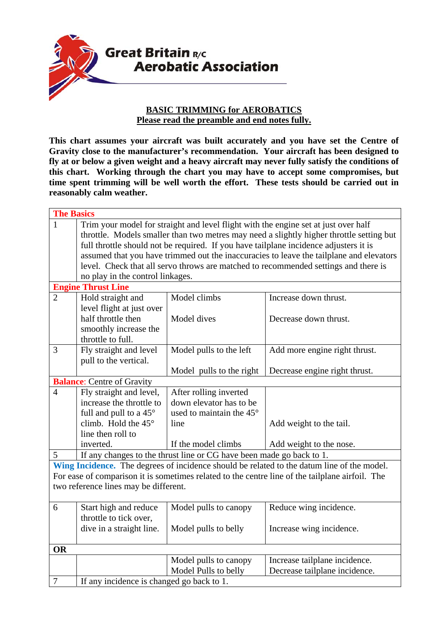

## **BASIC TRIMMING for AEROBATICS Please read the preamble and end notes fully.**

**This chart assumes your aircraft was built accurately and you have set the Centre of Gravity close to the manufacturer's recommendation. Your aircraft has been designed to fly at or below a given weight and a heavy aircraft may never fully satisfy the conditions of this chart. Working through the chart you may have to accept some compromises, but time spent trimming will be well worth the effort. These tests should be carried out in reasonably calm weather.** 

| <b>The Basics</b>                                                                               |                                                                                          |                                                                      |                               |  |  |
|-------------------------------------------------------------------------------------------------|------------------------------------------------------------------------------------------|----------------------------------------------------------------------|-------------------------------|--|--|
| $\mathbf{1}$                                                                                    | Trim your model for straight and level flight with the engine set at just over half      |                                                                      |                               |  |  |
|                                                                                                 | throttle. Models smaller than two metres may need a slightly higher throttle setting but |                                                                      |                               |  |  |
|                                                                                                 | full throttle should not be required. If you have tailplane incidence adjusters it is    |                                                                      |                               |  |  |
|                                                                                                 | assumed that you have trimmed out the inaccuracies to leave the tailplane and elevators  |                                                                      |                               |  |  |
|                                                                                                 | level. Check that all servo throws are matched to recommended settings and there is      |                                                                      |                               |  |  |
|                                                                                                 | no play in the control linkages.                                                         |                                                                      |                               |  |  |
| <b>Engine Thrust Line</b>                                                                       |                                                                                          |                                                                      |                               |  |  |
| $\overline{2}$                                                                                  | Hold straight and                                                                        | Model climbs                                                         | Increase down thrust.         |  |  |
|                                                                                                 | level flight at just over                                                                |                                                                      |                               |  |  |
|                                                                                                 | half throttle then                                                                       | Model dives                                                          | Decrease down thrust.         |  |  |
|                                                                                                 | smoothly increase the                                                                    |                                                                      |                               |  |  |
|                                                                                                 | throttle to full.                                                                        |                                                                      |                               |  |  |
| 3                                                                                               | Fly straight and level                                                                   | Model pulls to the left                                              | Add more engine right thrust. |  |  |
|                                                                                                 | pull to the vertical.                                                                    |                                                                      |                               |  |  |
|                                                                                                 |                                                                                          | Model pulls to the right                                             | Decrease engine right thrust. |  |  |
| <b>Balance:</b> Centre of Gravity                                                               |                                                                                          |                                                                      |                               |  |  |
| $\overline{4}$                                                                                  | Fly straight and level,                                                                  | After rolling inverted                                               |                               |  |  |
|                                                                                                 | increase the throttle to                                                                 | down elevator has to be                                              |                               |  |  |
|                                                                                                 | full and pull to a 45°                                                                   | used to maintain the 45°                                             |                               |  |  |
|                                                                                                 | climb. Hold the $45^\circ$                                                               | line                                                                 | Add weight to the tail.       |  |  |
|                                                                                                 | line then roll to                                                                        |                                                                      |                               |  |  |
|                                                                                                 | inverted.                                                                                | If the model climbs                                                  | Add weight to the nose.       |  |  |
| 5                                                                                               |                                                                                          | If any changes to the thrust line or CG have been made go back to 1. |                               |  |  |
| Wing Incidence. The degrees of incidence should be related to the datum line of the model.      |                                                                                          |                                                                      |                               |  |  |
| For ease of comparison it is sometimes related to the centre line of the tailplane airfoil. The |                                                                                          |                                                                      |                               |  |  |
| two reference lines may be different.                                                           |                                                                                          |                                                                      |                               |  |  |
|                                                                                                 |                                                                                          |                                                                      |                               |  |  |
| 6                                                                                               | Start high and reduce                                                                    | Model pulls to canopy                                                | Reduce wing incidence.        |  |  |
|                                                                                                 | throttle to tick over,                                                                   |                                                                      |                               |  |  |
|                                                                                                 | dive in a straight line.                                                                 | Model pulls to belly                                                 | Increase wing incidence.      |  |  |
|                                                                                                 |                                                                                          |                                                                      |                               |  |  |
| <b>OR</b>                                                                                       |                                                                                          |                                                                      |                               |  |  |
|                                                                                                 |                                                                                          | Model pulls to canopy                                                | Increase tailplane incidence. |  |  |
|                                                                                                 |                                                                                          | Model Pulls to belly                                                 | Decrease tailplane incidence. |  |  |
| $\boldsymbol{7}$                                                                                | If any incidence is changed go back to 1.                                                |                                                                      |                               |  |  |